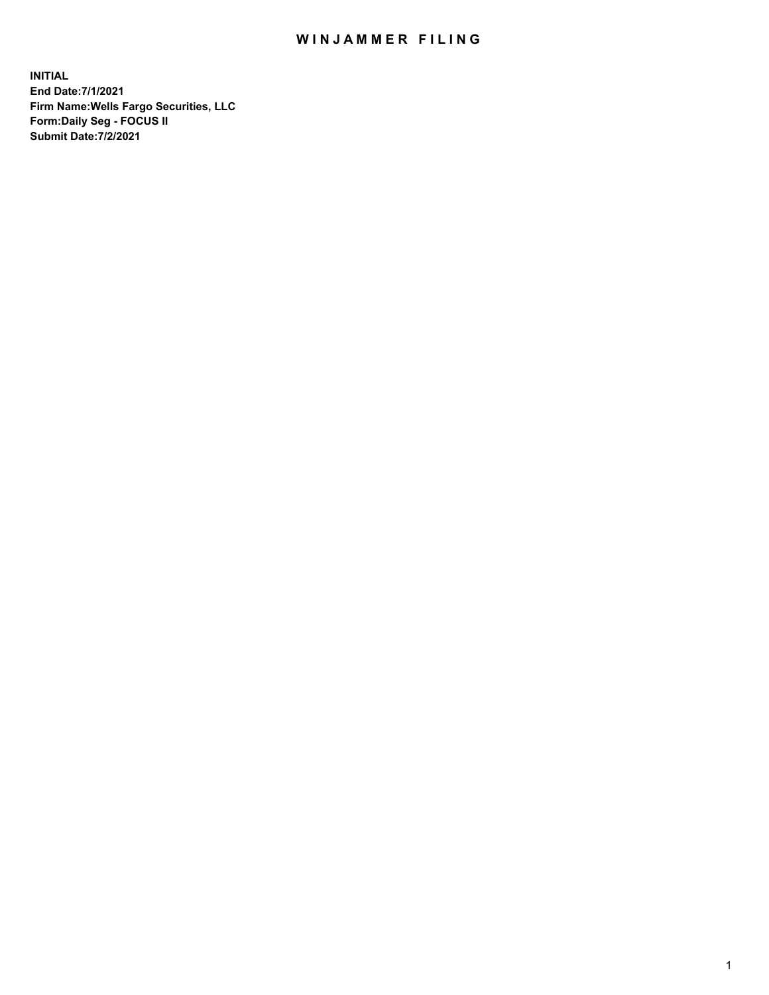## WIN JAMMER FILING

**INITIAL End Date:7/1/2021 Firm Name:Wells Fargo Securities, LLC Form:Daily Seg - FOCUS II Submit Date:7/2/2021**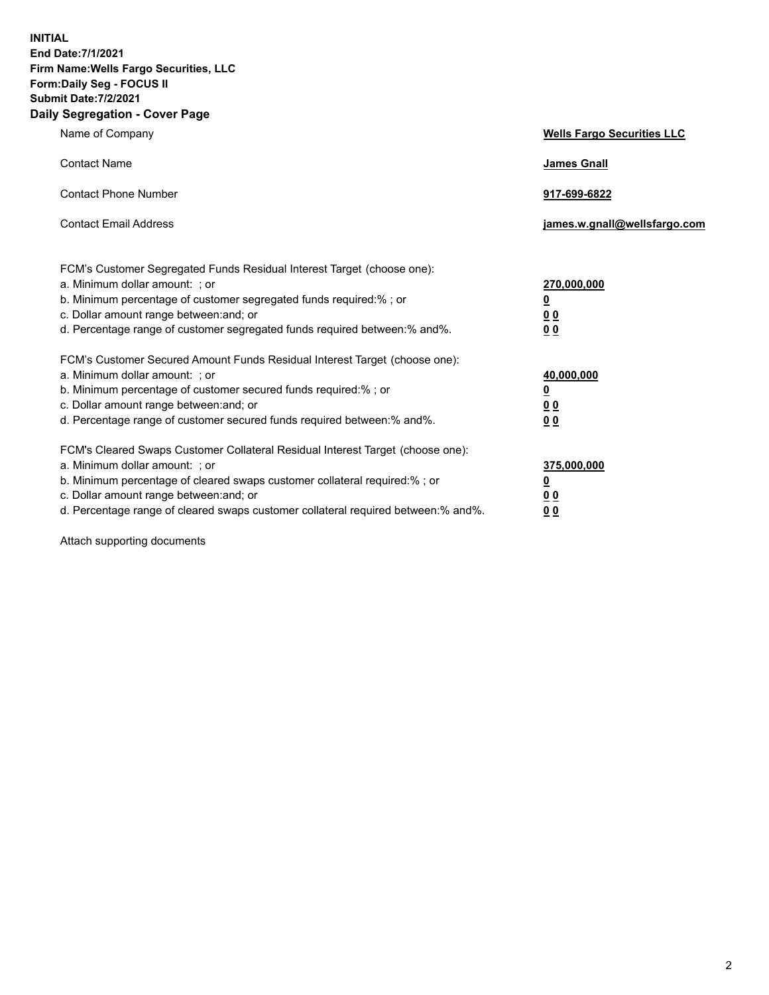**INITIAL End Date:7/1/2021 Firm Name:Wells Fargo Securities, LLC Form:Daily Seg - FOCUS II Submit Date:7/2/2021 Daily Segregation - Cover Page**

| Name of Company                                                                                                                                                                                                                                                                                                                | <b>Wells Fargo Securities LLC</b>               |
|--------------------------------------------------------------------------------------------------------------------------------------------------------------------------------------------------------------------------------------------------------------------------------------------------------------------------------|-------------------------------------------------|
| <b>Contact Name</b>                                                                                                                                                                                                                                                                                                            | <b>James Gnall</b>                              |
| <b>Contact Phone Number</b>                                                                                                                                                                                                                                                                                                    | 917-699-6822                                    |
| <b>Contact Email Address</b>                                                                                                                                                                                                                                                                                                   | james.w.gnall@wellsfargo.com                    |
| FCM's Customer Segregated Funds Residual Interest Target (choose one):<br>a. Minimum dollar amount: ; or<br>b. Minimum percentage of customer segregated funds required:% ; or<br>c. Dollar amount range between: and; or<br>d. Percentage range of customer segregated funds required between:% and%.                         | 270,000,000<br><u>0</u><br>00<br>0 <sub>0</sub> |
| FCM's Customer Secured Amount Funds Residual Interest Target (choose one):<br>a. Minimum dollar amount: ; or<br>b. Minimum percentage of customer secured funds required:%; or<br>c. Dollar amount range between: and; or<br>d. Percentage range of customer secured funds required between:% and%.                            | 40,000,000<br><u>0</u><br>00<br>0 <sub>0</sub>  |
| FCM's Cleared Swaps Customer Collateral Residual Interest Target (choose one):<br>a. Minimum dollar amount: ; or<br>b. Minimum percentage of cleared swaps customer collateral required:% ; or<br>c. Dollar amount range between: and; or<br>d. Percentage range of cleared swaps customer collateral required between:% and%. | 375,000,000<br><u>0</u><br>0 <sub>0</sub><br>00 |

Attach supporting documents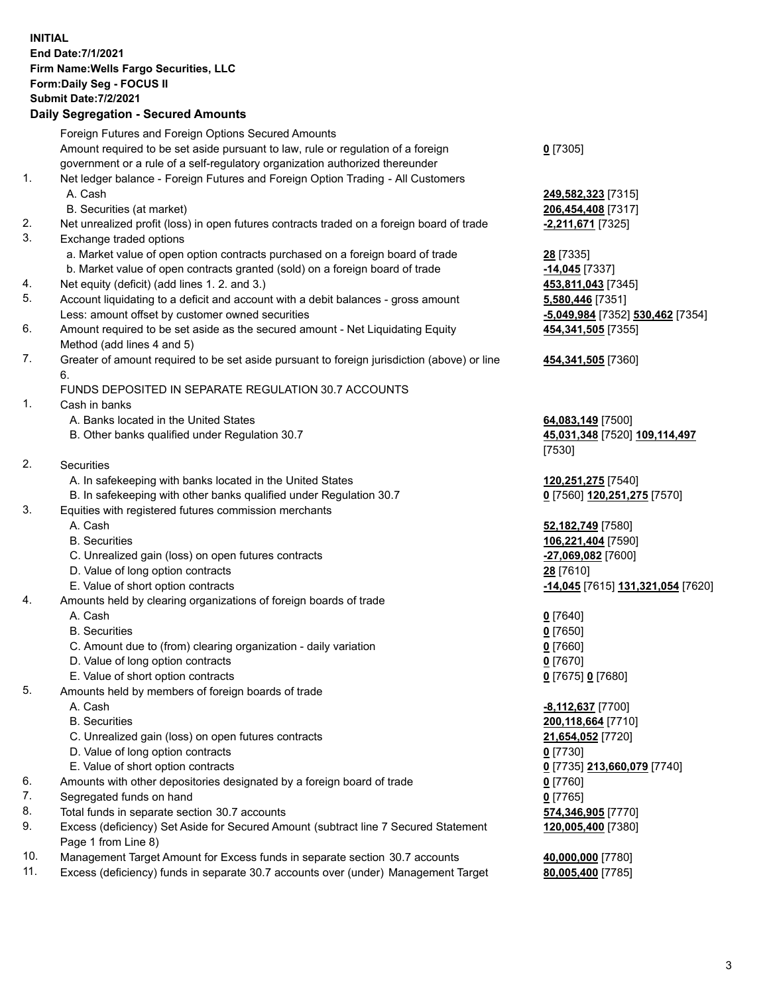**INITIAL End Date:7/1/2021 Firm Name:Wells Fargo Securities, LLC Form:Daily Seg - FOCUS II Submit Date:7/2/2021 Daily Segregation - Secured Amounts**

Foreign Futures and Foreign Options Secured Amounts Amount required to be set aside pursuant to law, rule or regulation of a foreign government or a rule of a self-regulatory organization authorized thereunder 1. Net ledger balance - Foreign Futures and Foreign Option Trading - All Customers A. Cash **249,582,323** [7315] B. Securities (at market) **206,454,408** [7317] 2. Net unrealized profit (loss) in open futures contracts traded on a foreign board of trade **-2,211,671** [7325] 3. Exchange traded options a. Market value of open option contracts purchased on a foreign board of trade **28** [7335] b. Market value of open contracts granted (sold) on a foreign board of trade **-14,045** [7337] 4. Net equity (deficit) (add lines 1. 2. and 3.) **453,811,043** [7345] 5. Account liquidating to a deficit and account with a debit balances - gross amount **5,580,446** [7351] Less: amount offset by customer owned securities **-5,049,984** [7352] **530,462** [7354] 6. Amount required to be set aside as the secured amount - Net Liquidating Equity Method (add lines 4 and 5) 7. Greater of amount required to be set aside pursuant to foreign jurisdiction (above) or line 6. FUNDS DEPOSITED IN SEPARATE REGULATION 30.7 ACCOUNTS 1. Cash in banks

A. Banks located in the United States **64,083,149** [7500]

- 
- 2. Securities
	- A. In safekeeping with banks located in the United States **120,251,275** [7540]
- B. In safekeeping with other banks qualified under Regulation 30.7 **0** [7560] **120,251,275** [7570]
- 3. Equities with registered futures commission merchants
	-
	-
	- C. Unrealized gain (loss) on open futures contracts **-27,069,082** [7600]
	- D. Value of long option contracts **28** [7610]
	-
- 4. Amounts held by clearing organizations of foreign boards of trade

## A. Cash **0** [7640]

- B. Securities **0** [7650]
- C. Amount due to (from) clearing organization daily variation **0** [7660]
- D. Value of long option contracts **0** [7670]
- E. Value of short option contracts **0** [7675] **0** [7680]
- 5. Amounts held by members of foreign boards of trade
	-
	-
	- C. Unrealized gain (loss) on open futures contracts **21,654,052** [7720]
	- D. Value of long option contracts **0** [7730]
	- E. Value of short option contracts **0** [7735] **213,660,079** [7740]
- 6. Amounts with other depositories designated by a foreign board of trade **0** [7760]
- 7. Segregated funds on hand **0** [7765]
- 8. Total funds in separate section 30.7 accounts **574,346,905** [7770]
- 9. Excess (deficiency) Set Aside for Secured Amount (subtract line 7 Secured Statement Page 1 from Line 8)
- 10. Management Target Amount for Excess funds in separate section 30.7 accounts **40,000,000** [7780]
- 11. Excess (deficiency) funds in separate 30.7 accounts over (under) Management Target **80,005,400** [7785]

**0** [7305]

**454,341,505** [7355]

**454,341,505** [7360]

 B. Other banks qualified under Regulation 30.7 **45,031,348** [7520] **109,114,497** [7530]

 A. Cash **52,182,749** [7580] B. Securities **106,221,404** [7590] E. Value of short option contracts **-14,045** [7615] **131,321,054** [7620]

 A. Cash **-8,112,637** [7700] B. Securities **200,118,664** [7710] **120,005,400** [7380]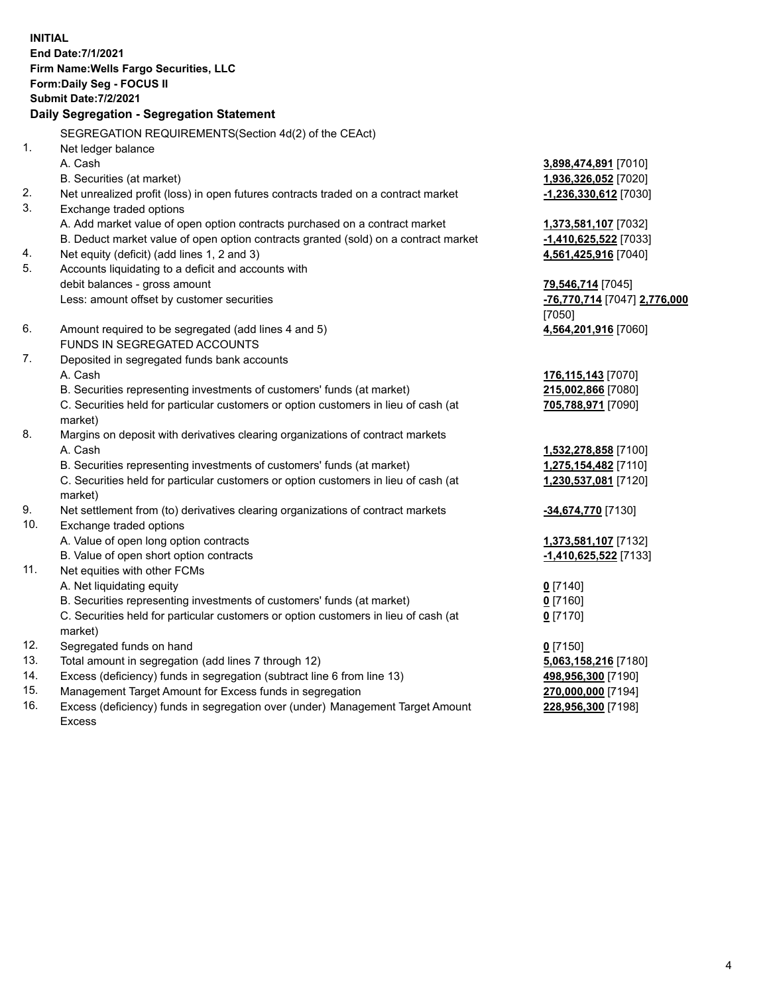**INITIAL End Date:7/1/2021 Firm Name:Wells Fargo Securities, LLC Form:Daily Seg - FOCUS II Submit Date:7/2/2021 Daily Segregation - Segregation Statement** SEGREGATION REQUIREMENTS(Section 4d(2) of the CEAct) 1. Net ledger balance A. Cash **3,898,474,891** [7010] B. Securities (at market) **1,936,326,052** [7020] 2. Net unrealized profit (loss) in open futures contracts traded on a contract market **-1,236,330,612** [7030] 3. Exchange traded options A. Add market value of open option contracts purchased on a contract market **1,373,581,107** [7032] B. Deduct market value of open option contracts granted (sold) on a contract market **-1,410,625,522** [7033] 4. Net equity (deficit) (add lines 1, 2 and 3) **4,561,425,916** [7040] 5. Accounts liquidating to a deficit and accounts with debit balances - gross amount **79,546,714** [7045] Less: amount offset by customer securities **-76,770,714** [7047] **2,776,000** [7050] 6. Amount required to be segregated (add lines 4 and 5) **4,564,201,916** [7060] FUNDS IN SEGREGATED ACCOUNTS 7. Deposited in segregated funds bank accounts A. Cash **176,115,143** [7070] B. Securities representing investments of customers' funds (at market) **215,002,866** [7080] C. Securities held for particular customers or option customers in lieu of cash (at market) **705,788,971** [7090] 8. Margins on deposit with derivatives clearing organizations of contract markets A. Cash **1,532,278,858** [7100] B. Securities representing investments of customers' funds (at market) **1,275,154,482** [7110] C. Securities held for particular customers or option customers in lieu of cash (at market) **1,230,537,081** [7120] 9. Net settlement from (to) derivatives clearing organizations of contract markets **-34,674,770** [7130] 10. Exchange traded options A. Value of open long option contracts **1,373,581,107** [7132] B. Value of open short option contracts **-1,410,625,522** [7133] 11. Net equities with other FCMs A. Net liquidating equity **0** [7140] B. Securities representing investments of customers' funds (at market) **0** [7160] C. Securities held for particular customers or option customers in lieu of cash (at market) **0** [7170] 12. Segregated funds on hand **0** [7150] 13. Total amount in segregation (add lines 7 through 12) **5,063,158,216** [7180] 14. Excess (deficiency) funds in segregation (subtract line 6 from line 13) **498,956,300** [7190] 15. Management Target Amount for Excess funds in segregation **270,000,000** [7194]

16. Excess (deficiency) funds in segregation over (under) Management Target Amount Excess

**228,956,300** [7198]